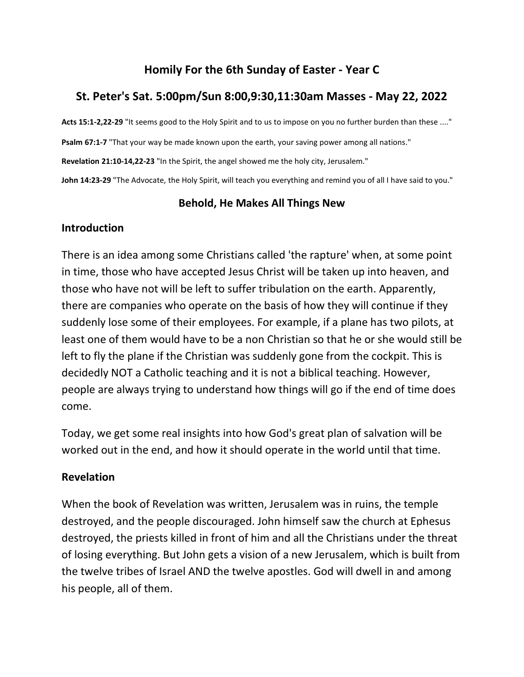# **Homily For the 6th Sunday of Easter - Year C**

# **St. Peter's Sat. 5:00pm/Sun 8:00,9:30,11:30am Masses - May 22, 2022**

**Acts 15:1-2,22-29** "It seems good to the Holy Spirit and to us to impose on you no further burden than these ...."

**Psalm 67:1-7** "That your way be made known upon the earth, your saving power among all nations."

**Revelation 21:10-14,22-23** "In the Spirit, the angel showed me the holy city, Jerusalem."

**John 14:23-29** "The Advocate, the Holy Spirit, will teach you everything and remind you of all I have said to you."

# **Behold, He Makes All Things New**

# **Introduction**

There is an idea among some Christians called 'the rapture' when, at some point in time, those who have accepted Jesus Christ will be taken up into heaven, and those who have not will be left to suffer tribulation on the earth. Apparently, there are companies who operate on the basis of how they will continue if they suddenly lose some of their employees. For example, if a plane has two pilots, at least one of them would have to be a non Christian so that he or she would still be left to fly the plane if the Christian was suddenly gone from the cockpit. This is decidedly NOT a Catholic teaching and it is not a biblical teaching. However, people are always trying to understand how things will go if the end of time does come.

Today, we get some real insights into how God's great plan of salvation will be worked out in the end, and how it should operate in the world until that time.

# **Revelation**

When the book of Revelation was written, Jerusalem was in ruins, the temple destroyed, and the people discouraged. John himself saw the church at Ephesus destroyed, the priests killed in front of him and all the Christians under the threat of losing everything. But John gets a vision of a new Jerusalem, which is built from the twelve tribes of Israel AND the twelve apostles. God will dwell in and among his people, all of them.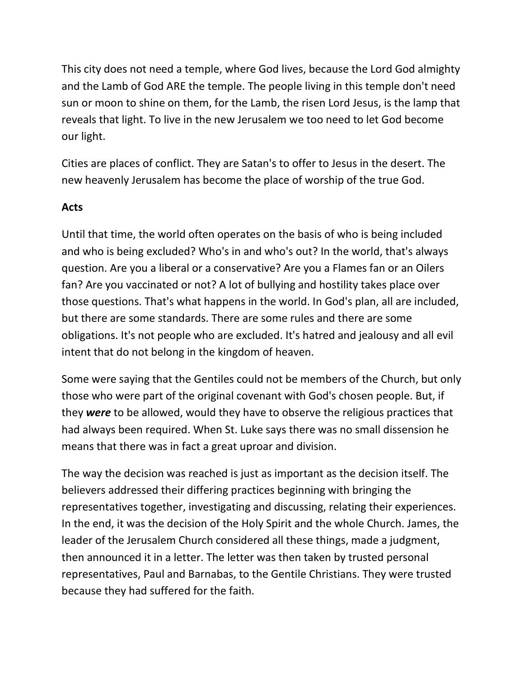This city does not need a temple, where God lives, because the Lord God almighty and the Lamb of God ARE the temple. The people living in this temple don't need sun or moon to shine on them, for the Lamb, the risen Lord Jesus, is the lamp that reveals that light. To live in the new Jerusalem we too need to let God become our light.

Cities are places of conflict. They are Satan's to offer to Jesus in the desert. The new heavenly Jerusalem has become the place of worship of the true God.

### **Acts**

Until that time, the world often operates on the basis of who is being included and who is being excluded? Who's in and who's out? In the world, that's always question. Are you a liberal or a conservative? Are you a Flames fan or an Oilers fan? Are you vaccinated or not? A lot of bullying and hostility takes place over those questions. That's what happens in the world. In God's plan, all are included, but there are some standards. There are some rules and there are some obligations. It's not people who are excluded. It's hatred and jealousy and all evil intent that do not belong in the kingdom of heaven.

Some were saying that the Gentiles could not be members of the Church, but only those who were part of the original covenant with God's chosen people. But, if they *were* to be allowed, would they have to observe the religious practices that had always been required. When St. Luke says there was no small dissension he means that there was in fact a great uproar and division.

The way the decision was reached is just as important as the decision itself. The believers addressed their differing practices beginning with bringing the representatives together, investigating and discussing, relating their experiences. In the end, it was the decision of the Holy Spirit and the whole Church. James, the leader of the Jerusalem Church considered all these things, made a judgment, then announced it in a letter. The letter was then taken by trusted personal representatives, Paul and Barnabas, to the Gentile Christians. They were trusted because they had suffered for the faith.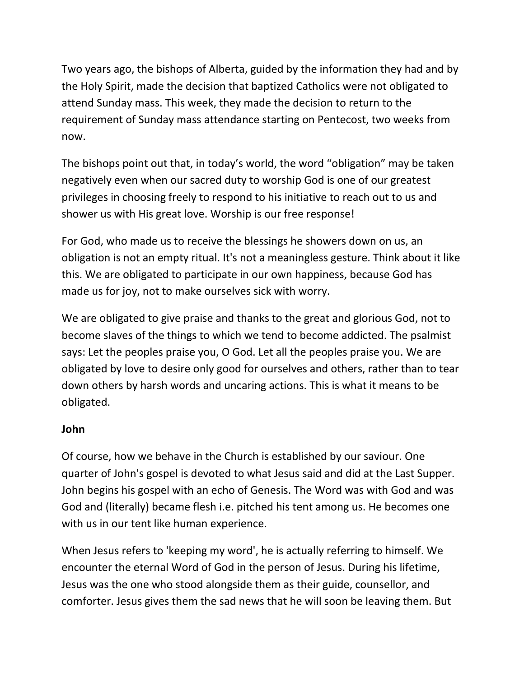Two years ago, the bishops of Alberta, guided by the information they had and by the Holy Spirit, made the decision that baptized Catholics were not obligated to attend Sunday mass. This week, they made the decision to return to the requirement of Sunday mass attendance starting on Pentecost, two weeks from now.

The bishops point out that, in today's world, the word "obligation" may be taken negatively even when our sacred duty to worship God is one of our greatest privileges in choosing freely to respond to his initiative to reach out to us and shower us with His great love. Worship is our free response!

For God, who made us to receive the blessings he showers down on us, an obligation is not an empty ritual. It's not a meaningless gesture. Think about it like this. We are obligated to participate in our own happiness, because God has made us for joy, not to make ourselves sick with worry.

We are obligated to give praise and thanks to the great and glorious God, not to become slaves of the things to which we tend to become addicted. The psalmist says: Let the peoples praise you, O God. Let all the peoples praise you. We are obligated by love to desire only good for ourselves and others, rather than to tear down others by harsh words and uncaring actions. This is what it means to be obligated.

# **John**

Of course, how we behave in the Church is established by our saviour. One quarter of John's gospel is devoted to what Jesus said and did at the Last Supper. John begins his gospel with an echo of Genesis. The Word was with God and was God and (literally) became flesh i.e. pitched his tent among us. He becomes one with us in our tent like human experience.

When Jesus refers to 'keeping my word', he is actually referring to himself. We encounter the eternal Word of God in the person of Jesus. During his lifetime, Jesus was the one who stood alongside them as their guide, counsellor, and comforter. Jesus gives them the sad news that he will soon be leaving them. But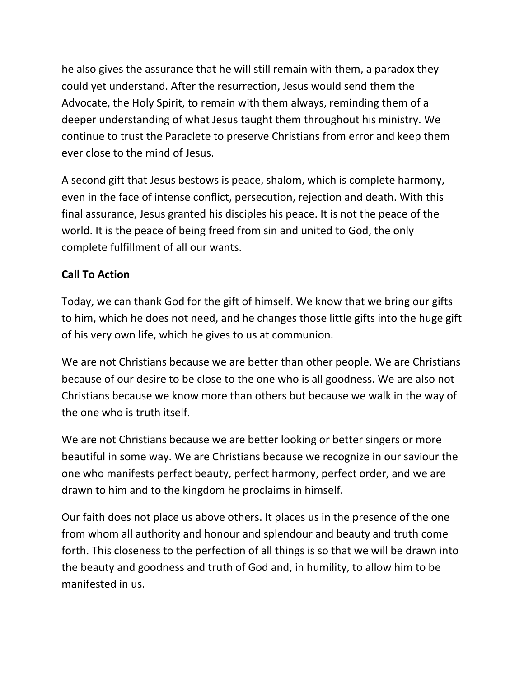he also gives the assurance that he will still remain with them, a paradox they could yet understand. After the resurrection, Jesus would send them the Advocate, the Holy Spirit, to remain with them always, reminding them of a deeper understanding of what Jesus taught them throughout his ministry. We continue to trust the Paraclete to preserve Christians from error and keep them ever close to the mind of Jesus.

A second gift that Jesus bestows is peace, shalom, which is complete harmony, even in the face of intense conflict, persecution, rejection and death. With this final assurance, Jesus granted his disciples his peace. It is not the peace of the world. It is the peace of being freed from sin and united to God, the only complete fulfillment of all our wants.

# **Call To Action**

Today, we can thank God for the gift of himself. We know that we bring our gifts to him, which he does not need, and he changes those little gifts into the huge gift of his very own life, which he gives to us at communion.

We are not Christians because we are better than other people. We are Christians because of our desire to be close to the one who is all goodness. We are also not Christians because we know more than others but because we walk in the way of the one who is truth itself.

We are not Christians because we are better looking or better singers or more beautiful in some way. We are Christians because we recognize in our saviour the one who manifests perfect beauty, perfect harmony, perfect order, and we are drawn to him and to the kingdom he proclaims in himself.

Our faith does not place us above others. It places us in the presence of the one from whom all authority and honour and splendour and beauty and truth come forth. This closeness to the perfection of all things is so that we will be drawn into the beauty and goodness and truth of God and, in humility, to allow him to be manifested in us.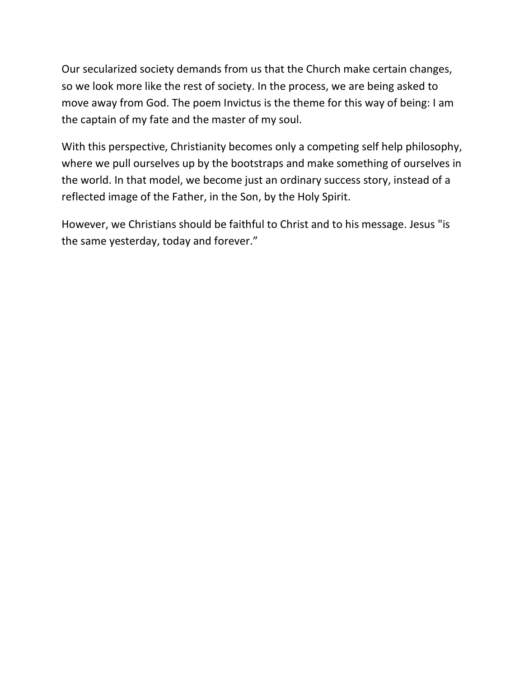Our secularized society demands from us that the Church make certain changes, so we look more like the rest of society. In the process, we are being asked to move away from God. The poem Invictus is the theme for this way of being: I am the captain of my fate and the master of my soul.

With this perspective, Christianity becomes only a competing self help philosophy, where we pull ourselves up by the bootstraps and make something of ourselves in the world. In that model, we become just an ordinary success story, instead of a reflected image of the Father, in the Son, by the Holy Spirit.

However, we Christians should be faithful to Christ and to his message. Jesus "is the same yesterday, today and forever."